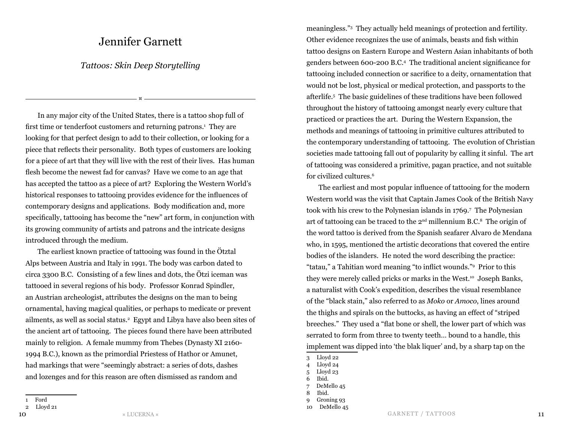## Jennifer Garnett

## *Tattoos: Skin Deep Storytelling*

¤

In any major city of the United States, there is a tattoo shop full of first time or tenderfoot customers and returning patrons.<sup>1</sup> They are looking for that perfect design to add to their collection, or looking for a piece that reflects their personality. Both types of customers are looking for a piece of art that they will live with the rest of their lives. Has human flesh become the newest fad for canvas? Have we come to an age that has accepted the tattoo as a piece of art? Exploring the Western World's historical responses to tattooing provides evidence for the influences of contemporary designs and applications. Body modification and, more specifically, tattooing has become the "new" art form, in conjunction with its growing community of artists and patrons and the intricate designs introduced through the medium.

The earliest known practice of tattooing was found in the Ötztal Alps between Austria and Italy in 1991. The body was carbon dated to circa 3300 B.C. Consisting of a few lines and dots, the Ötzi iceman was tattooed in several regions of his body. Professor Konrad Spindler, an Austrian archeologist, attributes the designs on the man to being ornamental, having magical qualities, or perhaps to medicate or prevent ailments, as well as social status.2 Egypt and Libya have also been sites of the ancient art of tattooing. The pieces found there have been attributed mainly to religion. A female mummy from Thebes (Dynasty XI 2160- 1994 B.C.), known as the primordial Priestess of Hathor or Amunet, had markings that were "seemingly abstract: a series of dots, dashes and lozenges and for this reason are often dismissed as random and

meaningless."3 They actually held meanings of protection and fertility. Other evidence recognizes the use of animals, beasts and fish within tattoo designs on Eastern Europe and Western Asian inhabitants of both genders between 600-200 B.C.4 The traditional ancient significance for tattooing included connection or sacrifice to a deity, ornamentation that would not be lost, physical or medical protection, and passports to the afterlife.5 The basic guidelines of these traditions have been followed throughout the history of tattooing amongst nearly every culture that practiced or practices the art. During the Western Expansion, the methods and meanings of tattooing in primitive cultures attributed to the contemporary understanding of tattooing. The evolution of Christian societies made tattooing fall out of popularity by calling it sinful. The art of tattooing was considered a primitive, pagan practice, and not suitable for civilized cultures.6

The earliest and most popular influence of tattooing for the modern Western world was the visit that Captain James Cook of the British Navy took with his crew to the Polynesian islands in 1769.7 The Polynesian art of tattooing can be traced to the  $2<sup>nd</sup>$  millennium B.C.<sup>8</sup> The origin of the word tattoo is derived from the Spanish seafarer Alvaro de Mendana who, in 1595, mentioned the artistic decorations that covered the entire bodies of the islanders. He noted the word describing the practice: "tatau," a Tahitian word meaning "to inflict wounds."9 Prior to this they were merely called pricks or marks in the West.<sup>10</sup> Joseph Banks, a naturalist with Cook's expedition, describes the visual resemblance of the "black stain," also referred to as *Moko* or *Amoco*, lines around the thighs and spirals on the buttocks, as having an effect of "striped breeches." They used a "flat bone or shell, the lower part of which was serrated to form from three to twenty teeth… bound to a handle, this implement was dipped into 'the blak liquer' and, by a sharp tap on the

<sup>1</sup> Ford

<sup>2</sup> Lloyd 21

<sup>3</sup> Lloyd 22

<sup>4</sup> Lloyd 24

<sup>5</sup> Lloyd 23

<sup>6</sup> Ibid.

<sup>7</sup> DeMello 45

<sup>8</sup> Ibid.

<sup>9</sup> Groning 93

<sup>10</sup> DeMello 45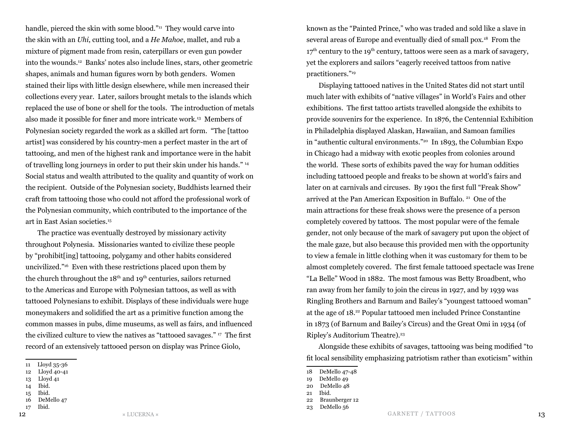handle, pierced the skin with some blood."<sup>11</sup> They would carve into the skin with an *Uhi*, cutting tool, and a *He Mahoe*, mallet, and rub a mixture of pigment made from resin, caterpillars or even gun powder into the wounds.12 Banks' notes also include lines, stars, other geometric shapes, animals and human figures worn by both genders. Women stained their lips with little design elsewhere, while men increased their collections every year. Later, sailors brought metals to the islands which replaced the use of bone or shell for the tools. The introduction of metals also made it possible for finer and more intricate work.13 Members of Polynesian society regarded the work as a skilled art form. "The [tattoo artist] was considered by his country-men a perfect master in the art of tattooing, and men of the highest rank and importance were in the habit of travelling long journeys in order to put their skin under his hands." 14 Social status and wealth attributed to the quality and quantity of work on the recipient. Outside of the Polynesian society, Buddhists learned their craft from tattooing those who could not afford the professional work of the Polynesian community, which contributed to the importance of the art in East Asian societies.15

The practice was eventually destroyed by missionary activity throughout Polynesia. Missionaries wanted to civilize these people by "prohibit[ing] tattooing, polygamy and other habits considered uncivilized."16 Even with these restrictions placed upon them by the church throughout the  $18<sup>th</sup>$  and  $19<sup>th</sup>$  centuries, sailors returned to the Americas and Europe with Polynesian tattoos, as well as with tattooed Polynesians to exhibit. Displays of these individuals were huge moneymakers and solidified the art as a primitive function among the common masses in pubs, dime museums, as well as fairs, and influenced the civilized culture to view the natives as "tattooed savages." 17 The first record of an extensively tattooed person on display was Prince Giolo,

14 Ibid.

17 Ibid.

 $\texttt{12}$   $\texttt{13}$   $\texttt{14}$   $\texttt{15}$   $\texttt{16}$   $\texttt{17}$   $\texttt{18}$   $\texttt{19}$   $\texttt{19}$   $\texttt{100}$   $\texttt{13}$ GARNETT / TATTOOS

known as the "Painted Prince," who was traded and sold like a slave in several areas of Europe and eventually died of small pox.18 From the  $17<sup>th</sup>$  century to the 19<sup>th</sup> century, tattoos were seen as a mark of savagery, yet the explorers and sailors "eagerly received tattoos from native practitioners."19

Displaying tattooed natives in the United States did not start until much later with exhibits of "native villages" in World's Fairs and other exhibitions. The first tattoo artists travelled alongside the exhibits to provide souvenirs for the experience. In 1876, the Centennial Exhibition in Philadelphia displayed Alaskan, Hawaiian, and Samoan families in "authentic cultural environments."20 In 1893, the Columbian Expo in Chicago had a midway with exotic peoples from colonies around the world. These sorts of exhibits paved the way for human oddities including tattooed people and freaks to be shown at world's fairs and later on at carnivals and circuses. By 1901 the first full "Freak Show" arrived at the Pan American Exposition in Buffalo. 21 One of the main attractions for these freak shows were the presence of a person completely covered by tattoos. The most popular were of the female gender, not only because of the mark of savagery put upon the object of the male gaze, but also because this provided men with the opportunity to view a female in little clothing when it was customary for them to be almost completely covered. The first female tattooed spectacle was Irene "La Belle" Wood in 1882. The most famous was Betty Broadbent, who ran away from her family to join the circus in 1927, and by 1939 was Ringling Brothers and Barnum and Bailey's "youngest tattooed woman" at the age of 18.22 Popular tattooed men included Prince Constantine in 1873 (of Barnum and Bailey's Circus) and the Great Omi in 1934 (of Ripley's Auditorium Theatre).<sup>23</sup>

Alongside these exhibits of savages, tattooing was being modified "to fit local sensibility emphasizing patriotism rather than exoticism" within

<sup>11</sup> Lloyd 35-36

<sup>12</sup> Lloyd 40-41

<sup>13</sup> Lloyd 41

<sup>15</sup> Ibid.

<sup>16</sup> DeMello 47

<sup>18</sup> DeMello 47-48

<sup>19</sup> DeMello 49 20 DeMello 48

<sup>21</sup> Ibid.

<sup>22</sup> Braunberger 12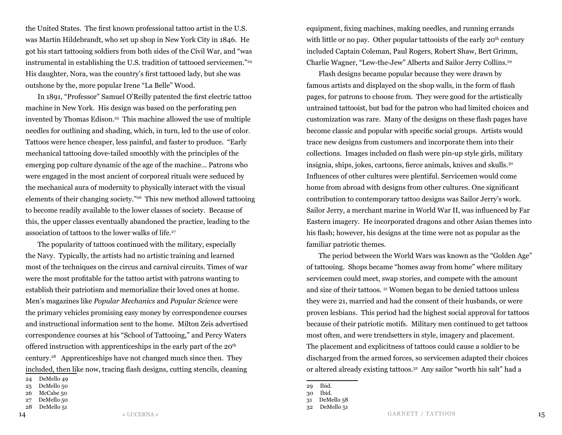the United States. The first known professional tattoo artist in the U.S. was Martin Hildebrandt, who set up shop in New York City in 1846. He got his start tattooing soldiers from both sides of the Civil War, and "was instrumental in establishing the U.S. tradition of tattooed servicemen."24 His daughter, Nora, was the country's first tattooed lady, but she was outshone by the, more popular Irene "La Belle" Wood.

In 1891, "Professor" Samuel O'Reilly patented the first electric tattoo machine in New York. His design was based on the perforating pen invented by Thomas Edison.<sup>25</sup> This machine allowed the use of multiple needles for outlining and shading, which, in turn, led to the use of color. Tattoos were hence cheaper, less painful, and faster to produce. "Early mechanical tattooing dove-tailed smoothly with the principles of the emerging pop culture dynamic of the age of the machine… Patrons who were engaged in the most ancient of corporeal rituals were seduced by the mechanical aura of modernity to physically interact with the visual elements of their changing society."26 This new method allowed tattooing to become readily available to the lower classes of society. Because of this, the upper classes eventually abandoned the practice, leading to the association of tattoos to the lower walks of life.<sup>27</sup>

The popularity of tattoos continued with the military, especially the Navy. Typically, the artists had no artistic training and learned most of the techniques on the circus and carnival circuits. Times of war were the most profitable for the tattoo artist with patrons wanting to establish their patriotism and memorialize their loved ones at home. Men's magazines like *Popular Mechanics* and *Popular Science* were the primary vehicles promising easy money by correspondence courses and instructional information sent to the home. Milton Zeis advertised correspondence courses at his "School of Tattooing," and Percy Waters offered instruction with apprenticeships in the early part of the  $20<sup>th</sup>$ century.28 Apprenticeships have not changed much since then. They included, then like now, tracing flash designs, cutting stencils, cleaning

28 DeMello 51

equipment, fixing machines, making needles, and running errands with little or no pay. Other popular tattooists of the early  $20<sup>th</sup>$  century included Captain Coleman, Paul Rogers, Robert Shaw, Bert Grimm, Charlie Wagner, "Lew-the-Jew" Alberts and Sailor Jerry Collins.29

Flash designs became popular because they were drawn by famous artists and displayed on the shop walls, in the form of flash pages, for patrons to choose from. They were good for the artistically untrained tattooist, but bad for the patron who had limited choices and customization was rare. Many of the designs on these flash pages have become classic and popular with specific social groups. Artists would trace new designs from customers and incorporate them into their collections. Images included on flash were pin-up style girls, military insignia, ships, jokes, cartoons, fierce animals, knives and skulls.30 Influences of other cultures were plentiful. Servicemen would come home from abroad with designs from other cultures. One significant contribution to contemporary tattoo designs was Sailor Jerry's work. Sailor Jerry, a merchant marine in World War II, was influenced by Far Eastern imagery. He incorporated dragons and other Asian themes into his flash; however, his designs at the time were not as popular as the familiar patriotic themes.

The period between the World Wars was known as the "Golden Age" of tattooing. Shops became "homes away from home" where military servicemen could meet, swap stories, and compete with the amount and size of their tattoos. 31 Women began to be denied tattoos unless they were 21, married and had the consent of their husbands, or were proven lesbians. This period had the highest social approval for tattoos because of their patriotic motifs. Military men continued to get tattoos most often, and were trendsetters in style, imagery and placement. The placement and explicitness of tattoos could cause a soldier to be discharged from the armed forces, so servicemen adapted their choices or altered already existing tattoos.32 Any sailor "worth his salt" had a

<sup>24</sup> DeMello 49

<sup>25</sup> DeMello 50

<sup>26</sup> McCabe 50

<sup>27</sup> DeMello 50

<sup>29</sup> Ibid.

<sup>30</sup> Ibid.

<sup>31</sup> DeMello 58

<sup>32</sup> DeMello 51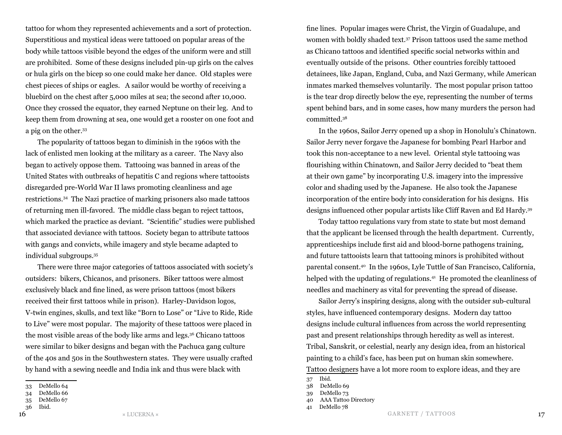tattoo for whom they represented achievements and a sort of protection. Superstitious and mystical ideas were tattooed on popular areas of the body while tattoos visible beyond the edges of the uniform were and still are prohibited. Some of these designs included pin-up girls on the calves or hula girls on the bicep so one could make her dance. Old staples were chest pieces of ships or eagles. A sailor would be worthy of receiving a bluebird on the chest after 5,000 miles at sea; the second after 10,000. Once they crossed the equator, they earned Neptune on their leg. And to keep them from drowning at sea, one would get a rooster on one foot and a pig on the other.33

The popularity of tattoos began to diminish in the 1960s with the lack of enlisted men looking at the military as a career. The Navy also began to actively oppose them. Tattooing was banned in areas of the United States with outbreaks of hepatitis C and regions where tattooists disregarded pre-World War II laws promoting cleanliness and age restrictions.34 The Nazi practice of marking prisoners also made tattoos of returning men ill-favored. The middle class began to reject tattoos, which marked the practice as deviant. "Scientific" studies were published that associated deviance with tattoos. Society began to attribute tattoos with gangs and convicts, while imagery and style became adapted to individual subgroups.35

There were three major categories of tattoos associated with society's outsiders: bikers, Chicanos, and prisoners. Biker tattoos were almost exclusively black and fine lined, as were prison tattoos (most bikers received their first tattoos while in prison). Harley-Davidson logos, V-twin engines, skulls, and text like "Born to Lose" or "Live to Ride, Ride to Live" were most popular. The majority of these tattoos were placed in the most visible areas of the body like arms and legs.36 Chicano tattoos were similar to biker designs and began with the Pachuca gang culture of the 40s and 50s in the Southwestern states. They were usually crafted by hand with a sewing needle and India ink and thus were black with

fine lines. Popular images were Christ, the Virgin of Guadalupe, and women with boldly shaded text.37 Prison tattoos used the same method as Chicano tattoos and identified specific social networks within and eventually outside of the prisons. Other countries forcibly tattooed detainees, like Japan, England, Cuba, and Nazi Germany, while American inmates marked themselves voluntarily. The most popular prison tattoo is the tear drop directly below the eye, representing the number of terms spent behind bars, and in some cases, how many murders the person had committed.38

In the 1960s, Sailor Jerry opened up a shop in Honolulu's Chinatown. Sailor Jerry never forgave the Japanese for bombing Pearl Harbor and took this non-acceptance to a new level. Oriental style tattooing was flourishing within Chinatown, and Sailor Jerry decided to "beat them at their own game" by incorporating U.S. imagery into the impressive color and shading used by the Japanese. He also took the Japanese incorporation of the entire body into consideration for his designs. His designs influenced other popular artists like Cliff Raven and Ed Hardy.39

Today tattoo regulations vary from state to state but most demand that the applicant be licensed through the health department. Currently, apprenticeships include first aid and blood-borne pathogens training, and future tattooists learn that tattooing minors is prohibited without parental consent.40 In the 1960s, Lyle Tuttle of San Francisco, California, helped with the updating of regulations.<sup>41</sup> He promoted the cleanliness of needles and machinery as vital for preventing the spread of disease.

Sailor Jerry's inspiring designs, along with the outsider sub-cultural styles, have influenced contemporary designs. Modern day tattoo designs include cultural influences from across the world representing past and present relationships through heredity as well as interest. Tribal, Sanskrit, or celestial, nearly any design idea, from an historical painting to a child's face, has been put on human skin somewhere. Tattoo designers have a lot more room to explore ideas, and they are

41 DeMello 78

<sup>33</sup> DeMello 64

<sup>34</sup> DeMello 66

<sup>35</sup> DeMello 67

<sup>36</sup> Ibid.

<sup>37</sup> Ibid.

<sup>38</sup> DeMello 69

<sup>39</sup> DeMello 73

<sup>40</sup> AAA Tattoo Directory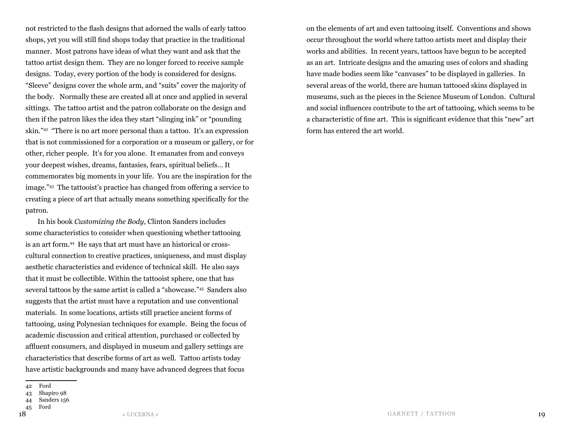not restricted to the flash designs that adorned the walls of early tattoo shops, yet you will still find shops today that practice in the traditional manner. Most patrons have ideas of what they want and ask that the tattoo artist design them. They are no longer forced to receive sample designs. Today, every portion of the body is considered for designs. "Sleeve" designs cover the whole arm, and "suits" cover the majority of the body. Normally these are created all at once and applied in several sittings. The tattoo artist and the patron collaborate on the design and then if the patron likes the idea they start "slinging ink" or "pounding skin."42 "There is no art more personal than a tattoo. It's an expression that is not commissioned for a corporation or a museum or gallery, or for other, richer people. It's for you alone. It emanates from and conveys your deepest wishes, dreams, fantasies, fears, spiritual beliefs… It commemorates big moments in your life. You are the inspiration for the image."43 The tattooist's practice has changed from offering a service to creating a piece of art that actually means something specifically for the patron.

In his book *Customizing the Body*, Clinton Sanders includes some characteristics to consider when questioning whether tattooing is an art form.44 He says that art must have an historical or crosscultural connection to creative practices, uniqueness, and must display aesthetic characteristics and evidence of technical skill. He also says that it must be collectible. Within the tattooist sphere, one that has several tattoos by the same artist is called a "showcase."45 Sanders also suggests that the artist must have a reputation and use conventional materials. In some locations, artists still practice ancient forms of tattooing, using Polynesian techniques for example. Being the focus of academic discussion and critical attention, purchased or collected by affluent consumers, and displayed in museum and gallery settings are characteristics that describe forms of art as well. Tattoo artists today have artistic backgrounds and many have advanced degrees that focus

45 Ford

on the elements of art and even tattooing itself. Conventions and shows occur throughout the world where tattoo artists meet and display their works and abilities. In recent years, tattoos have begun to be accepted as an art. Intricate designs and the amazing uses of colors and shading have made bodies seem like "canvases" to be displayed in galleries. In several areas of the world, there are human tattooed skins displayed in museums, such as the pieces in the Science Museum of London. Cultural and social influences contribute to the art of tattooing, which seems to be a characteristic of fine art. This is significant evidence that this "new" art form has entered the art world.

<sup>42</sup> Ford

<sup>43</sup> Shapiro 98

<sup>44</sup> Sanders 156